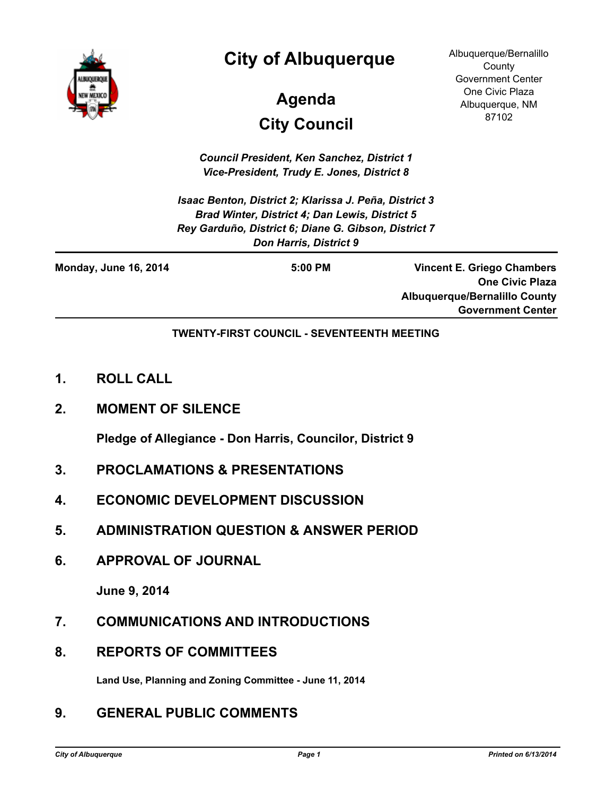

### **City of Albuquerque**

## **City Council Agenda**

Albuquerque/Bernalillo **County** Government Center One Civic Plaza Albuquerque, NM 87102

*Council President, Ken Sanchez, District 1 Vice-President, Trudy E. Jones, District 8*

*Isaac Benton, District 2; Klarissa J. Peña, District 3 Brad Winter, District 4; Dan Lewis, District 5 Rey Garduño, District 6; Diane G. Gibson, District 7 Don Harris, District 9*

| <b>Monday, June 16, 2014</b> | $5:00$ PM | Vincent E. Griego Chambers           |
|------------------------------|-----------|--------------------------------------|
|                              |           | <b>One Civic Plaza</b>               |
|                              |           | <b>Albuquerque/Bernalillo County</b> |
|                              |           | <b>Government Center</b>             |

**TWENTY-FIRST COUNCIL - SEVENTEENTH MEETING**

- **1. ROLL CALL**
- **2. MOMENT OF SILENCE**

**Pledge of Allegiance - Don Harris, Councilor, District 9**

- **3. PROCLAMATIONS & PRESENTATIONS**
- **4. ECONOMIC DEVELOPMENT DISCUSSION**
- **5. ADMINISTRATION QUESTION & ANSWER PERIOD**
- **6. APPROVAL OF JOURNAL**

**June 9, 2014**

- **7. COMMUNICATIONS AND INTRODUCTIONS**
- **8. REPORTS OF COMMITTEES**

**Land Use, Planning and Zoning Committee - June 11, 2014**

#### **9. GENERAL PUBLIC COMMENTS**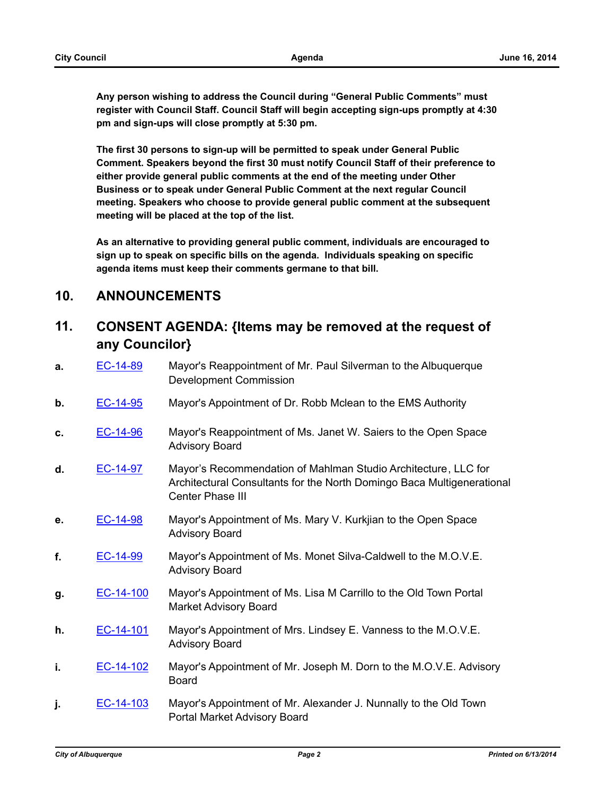**Any person wishing to address the Council during "General Public Comments" must register with Council Staff. Council Staff will begin accepting sign-ups promptly at 4:30 pm and sign-ups will close promptly at 5:30 pm.**

**The first 30 persons to sign-up will be permitted to speak under General Public Comment. Speakers beyond the first 30 must notify Council Staff of their preference to either provide general public comments at the end of the meeting under Other Business or to speak under General Public Comment at the next regular Council meeting. Speakers who choose to provide general public comment at the subsequent meeting will be placed at the top of the list.**

**As an alternative to providing general public comment, individuals are encouraged to sign up to speak on specific bills on the agenda. Individuals speaking on specific agenda items must keep their comments germane to that bill.**

#### **10. ANNOUNCEMENTS**

#### **11. CONSENT AGENDA: {Items may be removed at the request of any Councilor}**

- **a.** [EC-14-89](http://cabq.legistar.com/gateway.aspx?m=l&id=/matter.aspx?key=9205) Mayor's Reappointment of Mr. Paul Silverman to the Albuquerque Development Commission
- **b.** [EC-14-95](http://cabq.legistar.com/gateway.aspx?m=l&id=/matter.aspx?key=9216) Mayor's Appointment of Dr. Robb Mclean to the EMS Authority
- **c.** [EC-14-96](http://cabq.legistar.com/gateway.aspx?m=l&id=/matter.aspx?key=9217) Mayor's Reappointment of Ms. Janet W. Saiers to the Open Space Advisory Board
- **d.** [EC-14-97](http://cabq.legistar.com/gateway.aspx?m=l&id=/matter.aspx?key=9218) Mayor's Recommendation of Mahlman Studio Architecture, LLC for Architectural Consultants for the North Domingo Baca Multigenerational Center Phase III
- **e.** [EC-14-98](http://cabq.legistar.com/gateway.aspx?m=l&id=/matter.aspx?key=9219) Mayor's Appointment of Ms. Mary V. Kurkjian to the Open Space Advisory Board
- **f.** [EC-14-99](http://cabq.legistar.com/gateway.aspx?m=l&id=/matter.aspx?key=9220) Mayor's Appointment of Ms. Monet Silva-Caldwell to the M.O.V.E. Advisory Board
- **g.** [EC-14-100](http://cabq.legistar.com/gateway.aspx?m=l&id=/matter.aspx?key=9222) Mayor's Appointment of Ms. Lisa M Carrillo to the Old Town Portal Market Advisory Board
- **h.** [EC-14-101](http://cabq.legistar.com/gateway.aspx?m=l&id=/matter.aspx?key=9224) Mayor's Appointment of Mrs. Lindsey E. Vanness to the M.O.V.E. Advisory Board
- **i. [EC-14-102](http://cabq.legistar.com/gateway.aspx?m=l&id=/matter.aspx?key=9225)** Mayor's Appointment of Mr. Joseph M. Dorn to the M.O.V.E. Advisory Board
- **j.** [EC-14-103](http://cabq.legistar.com/gateway.aspx?m=l&id=/matter.aspx?key=9226) Mayor's Appointment of Mr. Alexander J. Nunnally to the Old Town Portal Market Advisory Board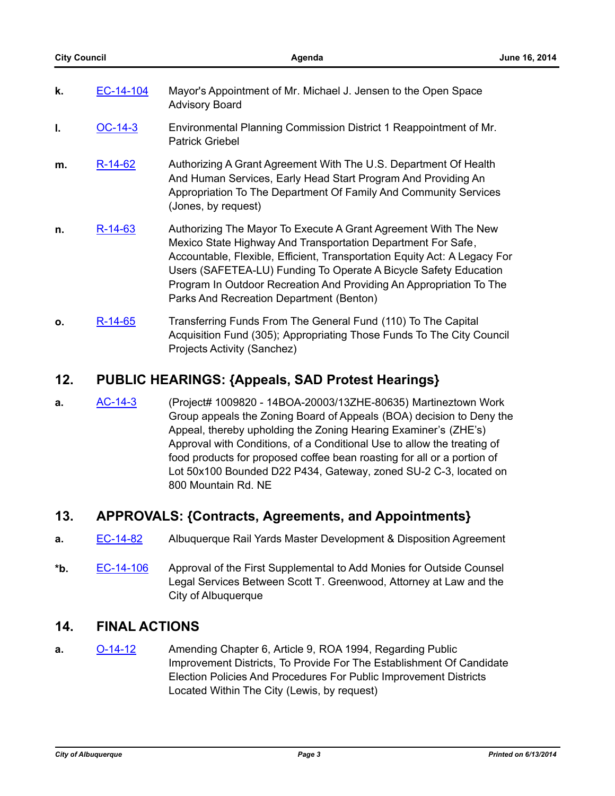| k. | EC-14-104 | Mayor's Appointment of Mr. Michael J. Jensen to the Open Space<br><b>Advisory Board</b>                                                                                                                                                                                                                                                                                                             |
|----|-----------|-----------------------------------------------------------------------------------------------------------------------------------------------------------------------------------------------------------------------------------------------------------------------------------------------------------------------------------------------------------------------------------------------------|
| I. | $OC-14-3$ | Environmental Planning Commission District 1 Reappointment of Mr.<br><b>Patrick Griebel</b>                                                                                                                                                                                                                                                                                                         |
| m. | R-14-62   | Authorizing A Grant Agreement With The U.S. Department Of Health<br>And Human Services, Early Head Start Program And Providing An<br>Appropriation To The Department Of Family And Community Services<br>(Jones, by request)                                                                                                                                                                        |
| n. | R-14-63   | Authorizing The Mayor To Execute A Grant Agreement With The New<br>Mexico State Highway And Transportation Department For Safe,<br>Accountable, Flexible, Efficient, Transportation Equity Act: A Legacy For<br>Users (SAFETEA-LU) Funding To Operate A Bicycle Safety Education<br>Program In Outdoor Recreation And Providing An Appropriation To The<br>Parks And Recreation Department (Benton) |
| 0. | R-14-65   | Transferring Funds From The General Fund (110) To The Capital                                                                                                                                                                                                                                                                                                                                       |

# **12. PUBLIC HEARINGS: {Appeals, SAD Protest Hearings}**

Projects Activity (Sanchez)

**a.** [AC-14-3](http://cabq.legistar.com/gateway.aspx?m=l&id=/matter.aspx?key=9179) (Project# 1009820 - 14BOA-20003/13ZHE-80635) Martineztown Work Group appeals the Zoning Board of Appeals (BOA) decision to Deny the Appeal, thereby upholding the Zoning Hearing Examiner's (ZHE's) Approval with Conditions, of a Conditional Use to allow the treating of food products for proposed coffee bean roasting for all or a portion of Lot 50x100 Bounded D22 P434, Gateway, zoned SU-2 C-3, located on 800 Mountain Rd. NE

Acquisition Fund (305); Appropriating Those Funds To The City Council

#### **13. APPROVALS: {Contracts, Agreements, and Appointments}**

- **a.** [EC-14-82](http://cabq.legistar.com/gateway.aspx?m=l&id=/matter.aspx?key=9193) Albuquerque Rail Yards Master Development & Disposition Agreement
- **\*b.** [EC-14-106](http://cabq.legistar.com/gateway.aspx?m=l&id=/matter.aspx?key=9237) Approval of the First Supplemental to Add Monies for Outside Counsel Legal Services Between Scott T. Greenwood, Attorney at Law and the City of Albuquerque

#### **14. FINAL ACTIONS**

**a.** [O-14-12](http://cabq.legistar.com/gateway.aspx?m=l&id=/matter.aspx?key=9169) Amending Chapter 6, Article 9, ROA 1994, Regarding Public Improvement Districts, To Provide For The Establishment Of Candidate Election Policies And Procedures For Public Improvement Districts Located Within The City (Lewis, by request)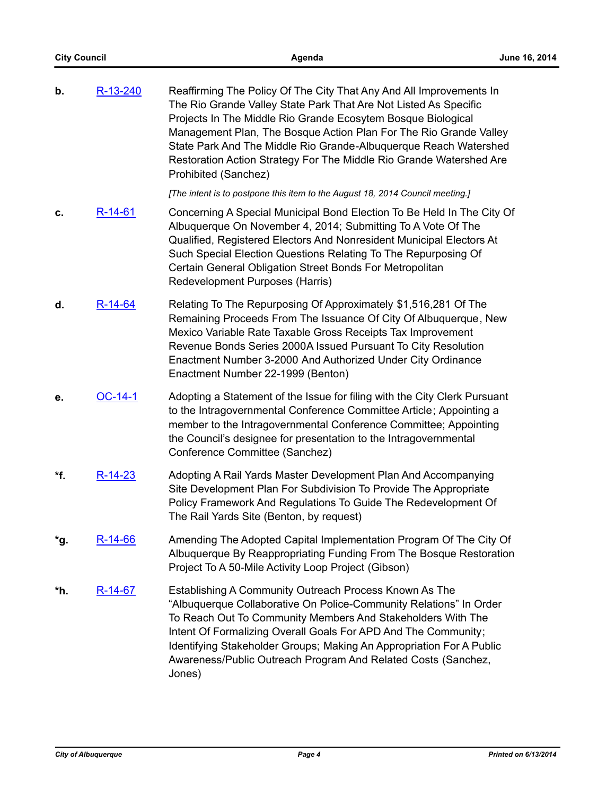| b.  | R-13-240      | Reaffirming The Policy Of The City That Any And All Improvements In<br>The Rio Grande Valley State Park That Are Not Listed As Specific<br>Projects In The Middle Rio Grande Ecosytem Bosque Biological<br>Management Plan, The Bosque Action Plan For The Rio Grande Valley<br>State Park And The Middle Rio Grande-Albuquerque Reach Watershed<br>Restoration Action Strategy For The Middle Rio Grande Watershed Are<br>Prohibited (Sanchez) |
|-----|---------------|-------------------------------------------------------------------------------------------------------------------------------------------------------------------------------------------------------------------------------------------------------------------------------------------------------------------------------------------------------------------------------------------------------------------------------------------------|
|     |               | [The intent is to postpone this item to the August 18, 2014 Council meeting.]                                                                                                                                                                                                                                                                                                                                                                   |
| c.  | $R-14-61$     | Concerning A Special Municipal Bond Election To Be Held In The City Of<br>Albuquerque On November 4, 2014; Submitting To A Vote Of The<br>Qualified, Registered Electors And Nonresident Municipal Electors At<br>Such Special Election Questions Relating To The Repurposing Of<br>Certain General Obligation Street Bonds For Metropolitan<br>Redevelopment Purposes (Harris)                                                                 |
| d.  | $R-14-64$     | Relating To The Repurposing Of Approximately \$1,516,281 Of The<br>Remaining Proceeds From The Issuance Of City Of Albuquerque, New<br>Mexico Variable Rate Taxable Gross Receipts Tax Improvement<br>Revenue Bonds Series 2000A Issued Pursuant To City Resolution<br>Enactment Number 3-2000 And Authorized Under City Ordinance<br>Enactment Number 22-1999 (Benton)                                                                         |
| е.  | OC-14-1       | Adopting a Statement of the Issue for filing with the City Clerk Pursuant<br>to the Intragovernmental Conference Committee Article; Appointing a<br>member to the Intragovernmental Conference Committee; Appointing<br>the Council's designee for presentation to the Intragovernmental<br>Conference Committee (Sanchez)                                                                                                                      |
| *f. | $R - 14 - 23$ | Adopting A Rail Yards Master Development Plan And Accompanying<br>Site Development Plan For Subdivision To Provide The Appropriate<br>Policy Framework And Regulations To Guide The Redevelopment Of<br>The Rail Yards Site (Benton, by request)                                                                                                                                                                                                |
| *g. | $R-14-66$     | Amending The Adopted Capital Implementation Program Of The City Of<br>Albuquerque By Reappropriating Funding From The Bosque Restoration<br>Project To A 50-Mile Activity Loop Project (Gibson)                                                                                                                                                                                                                                                 |
| *h. | $R-14-67$     | Establishing A Community Outreach Process Known As The<br>"Albuquerque Collaborative On Police-Community Relations" In Order<br>To Reach Out To Community Members And Stakeholders With The<br>Intent Of Formalizing Overall Goals For APD And The Community;<br>Identifying Stakeholder Groups; Making An Appropriation For A Public<br>Awareness/Public Outreach Program And Related Costs (Sanchez,<br>Jones)                                |